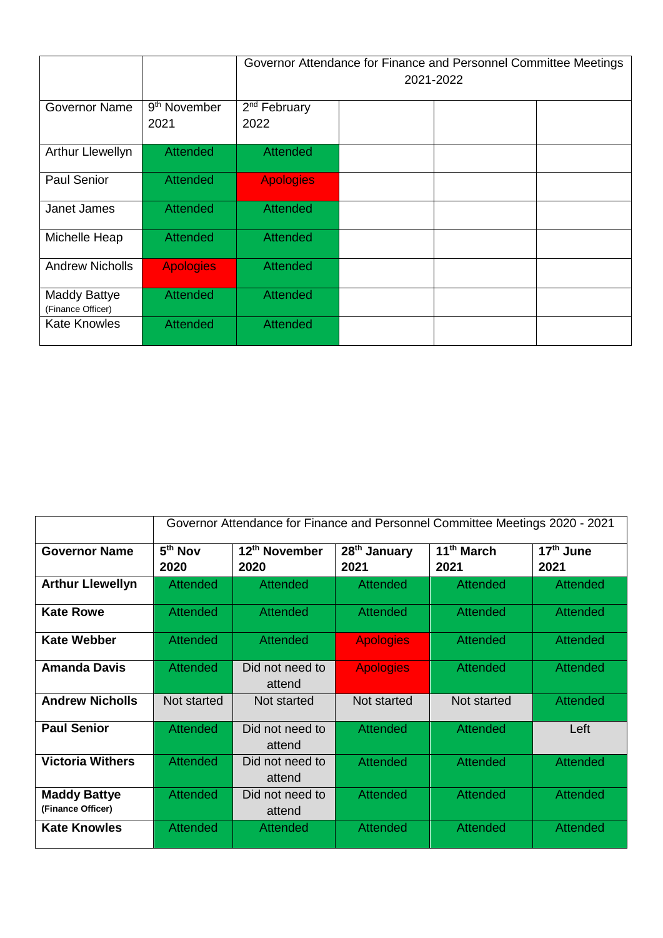|                                          |                                  | Governor Attendance for Finance and Personnel Committee Meetings<br>2021-2022 |  |  |  |
|------------------------------------------|----------------------------------|-------------------------------------------------------------------------------|--|--|--|
| <b>Governor Name</b>                     | 9 <sup>th</sup> November<br>2021 | 2 <sup>nd</sup> February<br>2022                                              |  |  |  |
| <b>Arthur Llewellyn</b>                  | <b>Attended</b>                  | <b>Attended</b>                                                               |  |  |  |
| <b>Paul Senior</b>                       | <b>Attended</b>                  | <b>Apologies</b>                                                              |  |  |  |
| Janet James                              | <b>Attended</b>                  | <b>Attended</b>                                                               |  |  |  |
| Michelle Heap                            | <b>Attended</b>                  | <b>Attended</b>                                                               |  |  |  |
| <b>Andrew Nicholls</b>                   | <b>Apologies</b>                 | <b>Attended</b>                                                               |  |  |  |
| <b>Maddy Battye</b><br>(Finance Officer) | <b>Attended</b>                  | <b>Attended</b>                                                               |  |  |  |
| <b>Kate Knowles</b>                      | <b>Attended</b>                  | <b>Attended</b>                                                               |  |  |  |

|                                          | Governor Attendance for Finance and Personnel Committee Meetings 2020 - 2021 |                                   |                                  |                                |                               |
|------------------------------------------|------------------------------------------------------------------------------|-----------------------------------|----------------------------------|--------------------------------|-------------------------------|
| <b>Governor Name</b>                     | $5th$ Nov<br>2020                                                            | 12 <sup>th</sup> November<br>2020 | 28 <sup>th</sup> January<br>2021 | 11 <sup>th</sup> March<br>2021 | 17 <sup>th</sup> June<br>2021 |
| <b>Arthur Llewellyn</b>                  | <b>Attended</b>                                                              | <b>Attended</b>                   | <b>Attended</b>                  | <b>Attended</b>                | <b>Attended</b>               |
| <b>Kate Rowe</b>                         | Attended                                                                     | Attended                          | <b>Attended</b>                  | Attended                       | Attended                      |
| <b>Kate Webber</b>                       | <b>Attended</b>                                                              | Attended                          | <b>Apologies</b>                 | Attended                       | Attended                      |
| <b>Amanda Davis</b>                      | <b>Attended</b>                                                              | Did not need to<br>attend         | <b>Apologies</b>                 | <b>Attended</b>                | <b>Attended</b>               |
| <b>Andrew Nicholls</b>                   | Not started                                                                  | Not started                       | Not started                      | Not started                    | Attended                      |
| <b>Paul Senior</b>                       | <b>Attended</b>                                                              | Did not need to<br>attend         | <b>Attended</b>                  | Attended                       | Left                          |
| <b>Victoria Withers</b>                  | <b>Attended</b>                                                              | Did not need to<br>attend         | <b>Attended</b>                  | <b>Attended</b>                | <b>Attended</b>               |
| <b>Maddy Battye</b><br>(Finance Officer) | <b>Attended</b>                                                              | Did not need to<br>attend         | <b>Attended</b>                  | <b>Attended</b>                | <b>Attended</b>               |
| <b>Kate Knowles</b>                      | <b>Attended</b>                                                              | Attended                          | <b>Attended</b>                  | <b>Attended</b>                | Attended                      |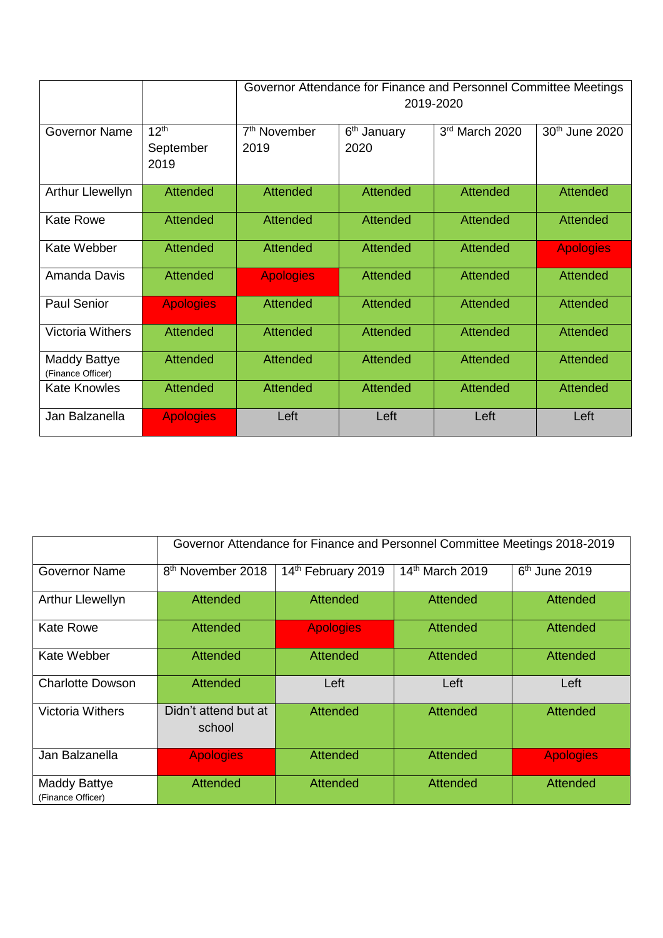|                                          |                   | Governor Attendance for Finance and Personnel Committee Meetings<br>2019-2020 |                         |                 |                            |
|------------------------------------------|-------------------|-------------------------------------------------------------------------------|-------------------------|-----------------|----------------------------|
| <b>Governor Name</b>                     | 12 <sup>th</sup>  | 7 <sup>th</sup> November                                                      | 6 <sup>th</sup> January | 3rd March 2020  | 30 <sup>th</sup> June 2020 |
|                                          | September<br>2019 | 2019                                                                          | 2020                    |                 |                            |
| <b>Arthur Llewellyn</b>                  | <b>Attended</b>   | <b>Attended</b>                                                               | <b>Attended</b>         | <b>Attended</b> | <b>Attended</b>            |
| <b>Kate Rowe</b>                         | Attended          | Attended                                                                      | <b>Attended</b>         | <b>Attended</b> | Attended                   |
| Kate Webber                              | <b>Attended</b>   | <b>Attended</b>                                                               | <b>Attended</b>         | <b>Attended</b> | <b>Apologies</b>           |
| Amanda Davis                             | <b>Attended</b>   | <b>Apologies</b>                                                              | <b>Attended</b>         | <b>Attended</b> | <b>Attended</b>            |
| Paul Senior                              | <b>Apologies</b>  | <b>Attended</b>                                                               | <b>Attended</b>         | <b>Attended</b> | <b>Attended</b>            |
| <b>Victoria Withers</b>                  | <b>Attended</b>   | <b>Attended</b>                                                               | <b>Attended</b>         | <b>Attended</b> | <b>Attended</b>            |
| <b>Maddy Battye</b><br>(Finance Officer) | <b>Attended</b>   | <b>Attended</b>                                                               | <b>Attended</b>         | <b>Attended</b> | <b>Attended</b>            |
| <b>Kate Knowles</b>                      | <b>Attended</b>   | <b>Attended</b>                                                               | <b>Attended</b>         | <b>Attended</b> | <b>Attended</b>            |
| Jan Balzanella                           | <b>Apologies</b>  | Left                                                                          | Left                    | Left            | Left                       |

|                                          | Governor Attendance for Finance and Personnel Committee Meetings 2018-2019 |                    |                 |                  |  |
|------------------------------------------|----------------------------------------------------------------------------|--------------------|-----------------|------------------|--|
| <b>Governor Name</b>                     | 8 <sup>th</sup> November 2018                                              | 14th February 2019 | 14th March 2019 | $6th$ June 2019  |  |
| Arthur Llewellyn                         | <b>Attended</b>                                                            | <b>Attended</b>    | Attended        | <b>Attended</b>  |  |
| <b>Kate Rowe</b>                         | Attended                                                                   | <b>Apologies</b>   | Attended        | <b>Attended</b>  |  |
| Kate Webber                              | <b>Attended</b>                                                            | <b>Attended</b>    | <b>Attended</b> | <b>Attended</b>  |  |
| <b>Charlotte Dowson</b>                  | <b>Attended</b>                                                            | Left               | Left            | Left             |  |
| <b>Victoria Withers</b>                  | Didn't attend but at<br>school                                             | <b>Attended</b>    | <b>Attended</b> | <b>Attended</b>  |  |
| Jan Balzanella                           | <b>Apologies</b>                                                           | <b>Attended</b>    | <b>Attended</b> | <b>Apologies</b> |  |
| <b>Maddy Battye</b><br>(Finance Officer) | Attended                                                                   | Attended           | Attended        | <b>Attended</b>  |  |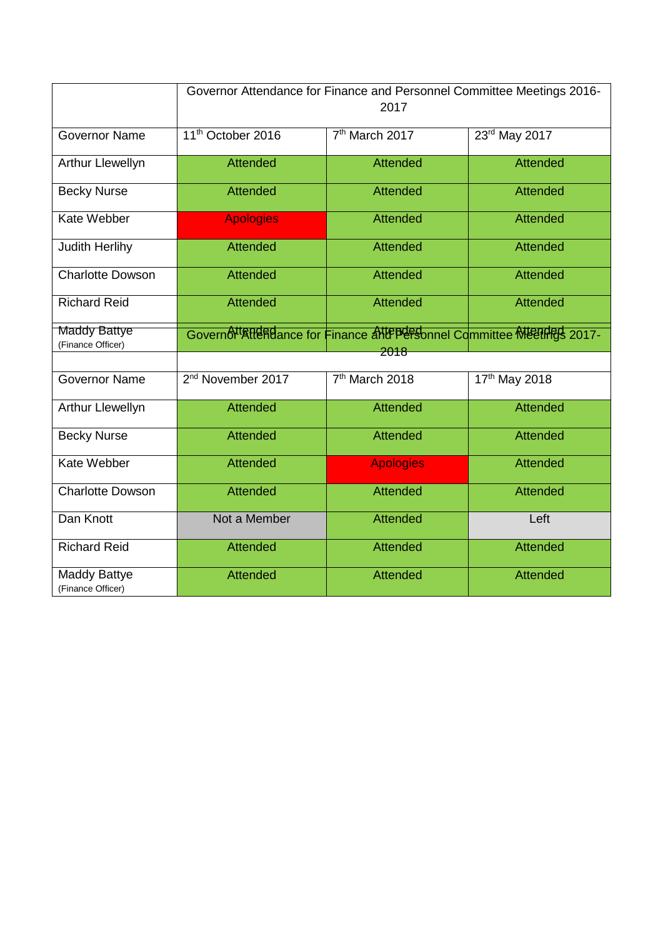|                                          | Governor Attendance for Finance and Personnel Committee Meetings 2016-<br>2017 |                                                                     |                 |  |  |
|------------------------------------------|--------------------------------------------------------------------------------|---------------------------------------------------------------------|-----------------|--|--|
|                                          |                                                                                |                                                                     |                 |  |  |
| <b>Governor Name</b>                     | 11 <sup>th</sup> October 2016                                                  | 7 <sup>th</sup> March 2017                                          | 23rd May 2017   |  |  |
| Arthur Llewellyn                         | <b>Attended</b>                                                                | <b>Attended</b>                                                     | <b>Attended</b> |  |  |
| <b>Becky Nurse</b>                       | <b>Attended</b>                                                                | <b>Attended</b>                                                     | <b>Attended</b> |  |  |
| Kate Webber                              | <b>Apologies</b>                                                               | <b>Attended</b>                                                     | <b>Attended</b> |  |  |
| Judith Herlihy                           | <b>Attended</b>                                                                | <b>Attended</b>                                                     | <b>Attended</b> |  |  |
| <b>Charlotte Dowson</b>                  | <b>Attended</b>                                                                | <b>Attended</b>                                                     | <b>Attended</b> |  |  |
| <b>Richard Reid</b>                      | <b>Attended</b>                                                                | <b>Attended</b>                                                     | <b>Attended</b> |  |  |
| <b>Maddy Battye</b>                      |                                                                                | Governot Atlande for Finance allepersonnel Committee Meetings 2017- |                 |  |  |
| (Finance Officer)                        |                                                                                | 2018                                                                |                 |  |  |
|                                          |                                                                                |                                                                     |                 |  |  |
| <b>Governor Name</b>                     | 2 <sup>nd</sup> November 2017                                                  | 7 <sup>th</sup> March 2018                                          | 17th May 2018   |  |  |
| <b>Arthur Llewellyn</b>                  | <b>Attended</b>                                                                | <b>Attended</b>                                                     | <b>Attended</b> |  |  |
| <b>Becky Nurse</b>                       | <b>Attended</b>                                                                | <b>Attended</b>                                                     | <b>Attended</b> |  |  |
| Kate Webber                              | <b>Attended</b>                                                                | <b>Apologies</b>                                                    | <b>Attended</b> |  |  |
| <b>Charlotte Dowson</b>                  | <b>Attended</b>                                                                | <b>Attended</b>                                                     | <b>Attended</b> |  |  |
| Dan Knott                                | Not a Member                                                                   | <b>Attended</b>                                                     | Left            |  |  |
| <b>Richard Reid</b>                      | <b>Attended</b>                                                                | <b>Attended</b>                                                     | <b>Attended</b> |  |  |
| <b>Maddy Battye</b><br>(Finance Officer) | <b>Attended</b>                                                                | <b>Attended</b>                                                     | <b>Attended</b> |  |  |